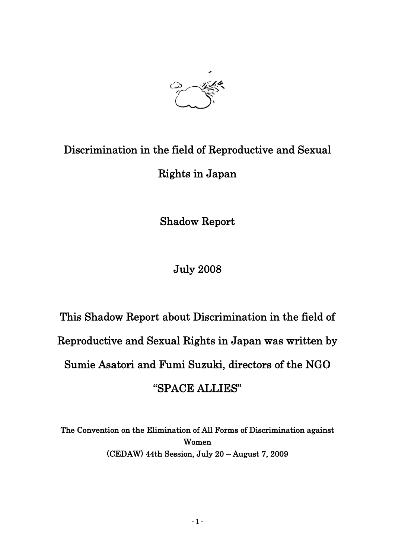

## Discrimination in the field of Reproductive and Sexual Rights in Japan

Shadow Report

July 2008

# This Shadow Report about Discrimination in the field of Reproductive and Sexual Rights in Japan was written by Sumie Asatori and Fumi Suzuki, directors of the NGO "SPACE ALLIES"

The Convention on the Elimination of All Forms of Discrimination against Women (CEDAW) 44th Session, July 20 – August 7, 2009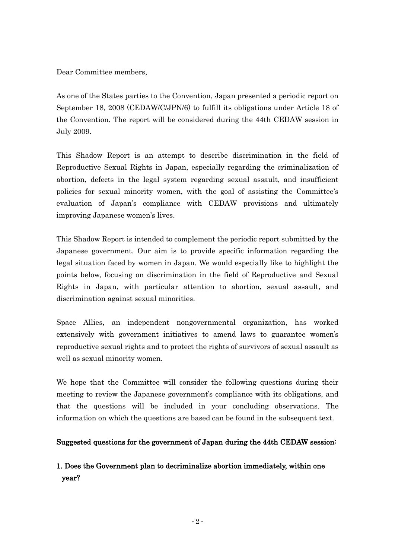Dear Committee members,

As one of the States parties to the Convention, Japan presented a periodic report on September 18, 2008 (CEDAW/C/JPN/6) to fulfill its obligations under Article 18 of the Convention. The report will be considered during the 44th CEDAW session in July 2009.

This Shadow Report is an attempt to describe discrimination in the field of Reproductive Sexual Rights in Japan, especially regarding the criminalization of abortion, defects in the legal system regarding sexual assault, and insufficient policies for sexual minority women, with the goal of assisting the Committee's evaluation of Japan's compliance with CEDAW provisions and ultimately improving Japanese women's lives.

This Shadow Report is intended to complement the periodic report submitted by the Japanese government. Our aim is to provide specific information regarding the legal situation faced by women in Japan. We would especially like to highlight the points below, focusing on discrimination in the field of Reproductive and Sexual Rights in Japan, with particular attention to abortion, sexual assault, and discrimination against sexual minorities.

Space Allies, an independent nongovernmental organization, has worked extensively with government initiatives to amend laws to guarantee women's reproductive sexual rights and to protect the rights of survivors of sexual assault as well as sexual minority women.

We hope that the Committee will consider the following questions during their meeting to review the Japanese government's compliance with its obligations, and that the questions will be included in your concluding observations. The information on which the questions are based can be found in the subsequent text.

## Suggested questions for the government of Japan during the 44th CEDAW session:

## 1. Does the Government plan to decriminalize abortion immediately, within one year?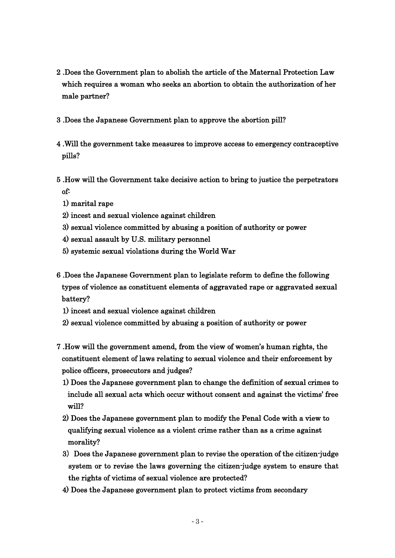- 2 .Does the Government plan to abolish the article of the Maternal Protection Law which requires a woman who seeks an abortion to obtain the authorization of her male partner?
- 3 .Does the Japanese Government plan to approve the abortion pill?
- 4 .Will the government take measures to improve access to emergency contraceptive pills?
- 5 .How will the Government take decisive action to bring to justice the perpetrators of:
	- 1) marital rape
	- 2) incest and sexual violence against children
	- 3) sexual violence committed by abusing a position of authority or power
	- 4) sexual assault by U.S. military personnel
	- 5) systemic sexual violations during the World War
- 6 .Does the Japanese Government plan to legislate reform to define the following types of violence as constituent elements of aggravated rape or aggravated sexual battery?
	- 1) incest and sexual violence against children
	- 2) sexual violence committed by abusing a position of authority or power
- 7 .How will the government amend, from the view of women's human rights, the constituent element of laws relating to sexual violence and their enforcement by police officers, prosecutors and judges?
	- 1) Does the Japanese government plan to change the definition of sexual crimes to include all sexual acts which occur without consent and against the victims' free will?
	- 2) Does the Japanese government plan to modify the Penal Code with a view to qualifying sexual violence as a violent crime rather than as a crime against morality?
	- 3) Does the Japanese government plan to revise the operation of the citizen-judge system or to revise the laws governing the citizen-judge system to ensure that the rights of victims of sexual violence are protected?
	- 4) Does the Japanese government plan to protect victims from secondary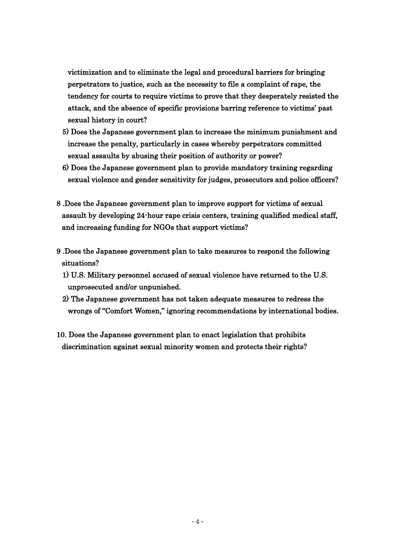victimization and to eliminate the legal and procedural barriers for bringing perpetrators to justice, such as the necessity to file a complaint of rape, the tendency for courts to require victims to prove that they desperately resisted the attack, and the absence of specific provisions barring reference to victims' past sexual history in court?

- 5) Does the Japanese government plan to increase the minimum punishment and increase the penalty, particularly in cases whereby perpetrators committed sexual assaults by abusing their position of authority or power?
- 6) Does the Japanese government plan to provide mandatory training regarding sexual violence and gender sensitivity for judges, prosecutors and police officers?
- 8 .Does the Japanese government plan to improve support for victims of sexual assault by developing 24-hour rape crisis centers, training qualified medical staff, and increasing funding for NGOs that support victims?
- 9 .Does the Japanese government plan to take measures to respond the following situations?
	- 1) U.S. Military personnel accused of sexual violence have returned to the U.S. unprosecuted and/or unpunished.
	- 2) The Japanese government has not taken adequate measures to redress the wrongs of "Comfort Women," ignoring recommendations by international bodies.
- 10. Does the Japanese government plan to enact legislation that prohibits discrimination against sexual minority women and protects their rights?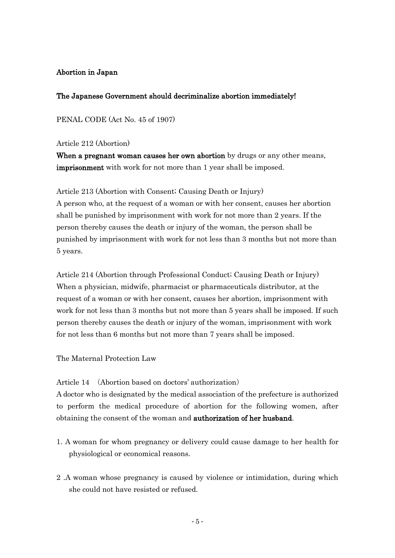## Abortion in Japan

## The Japanese Government should decriminalize abortion immediately!

PENAL CODE (Act No. 45 of 1907)

Article 212 (Abortion)

When a pregnant woman causes her own abortion by drugs or any other means, imprisonment with work for not more than 1 year shall be imposed.

Article 213 (Abortion with Consent; Causing Death or Injury) A person who, at the request of a woman or with her consent, causes her abortion shall be punished by imprisonment with work for not more than 2 years. If the person thereby causes the death or injury of the woman, the person shall be punished by imprisonment with work for not less than 3 months but not more than 5 years.

Article 214 (Abortion through Professional Conduct; Causing Death or Injury) When a physician, midwife, pharmacist or pharmaceuticals distributor, at the request of a woman or with her consent, causes her abortion, imprisonment with work for not less than 3 months but not more than 5 years shall be imposed. If such person thereby causes the death or injury of the woman, imprisonment with work for not less than 6 months but not more than 7 years shall be imposed.

The Maternal Protection Law

Article 14 (Abortion based on doctors' authorization)

A doctor who is designated by the medical association of the prefecture is authorized to perform the medical procedure of abortion for the following women, after obtaining the consent of the woman and **authorization of her husband**.

- 1. A woman for whom pregnancy or delivery could cause damage to her health for physiological or economical reasons.
- 2 .A woman whose pregnancy is caused by violence or intimidation, during which she could not have resisted or refused.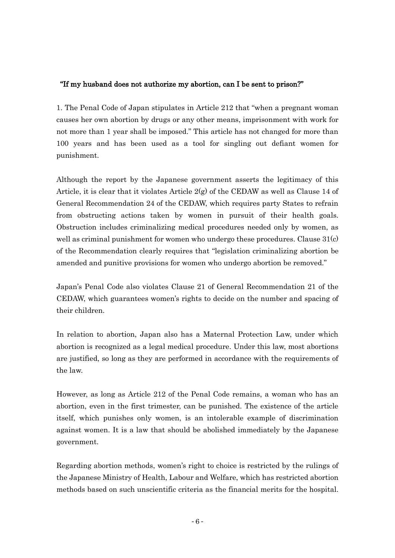## "If my husband does not authorize my abortion, can I be sent to prison?"

1. The Penal Code of Japan [stipulates](javascript:goWordLink(%22stipulates%22)) in Article 212 that "when a pregnant woman causes her own abortion by drugs or any other means, imprisonment with work for not more than 1 year shall be imposed." This article has not changed for more than 100 years and has been used as a tool for singling out defiant women for punishment.

Although the report by the Japanese government asserts the legitimacy of this Article, it is clear that it violates Article 2(g) of the CEDAW as well as Clause 14 of General Recommendation 24 of the CEDAW, which requires party States to refrain from obstructing actions taken by women in pursuit of their health goals. Obstruction includes criminalizing medical procedures needed only by women, as well as criminal punishment for women who undergo these procedures. Clause 31(c) of the Recommendation clearly requires that "legislation criminalizing abortion be amended and punitive provisions for women who undergo abortion be removed."

Japan's Penal Code also violates Clause 21 of General Recommendation 21 of the CEDAW, which guarantees women's rights to decide on the number and spacing of their children.

In relation to abortion, Japan also has a Maternal Protection Law, under which abortion is recognized as a legal medical procedure. Under this law, most abortions are justified, so long as they are performed in accordance with the requirements of the law.

However, as long as Article 212 of the Penal Code remains, a woman who has an abortion, even in the first trimester, can be punished. The existence of the article itself, which punishes only women, is an intolerable example of discrimination against women. It is a law that should be abolished immediately by the Japanese government.

Regarding abortion methods, women's right to choice is restricted by the rulings of the Japanese [Ministry](javascript:goWordLink(%22Ministry%22)) [of](javascript:goWordLink(%22of%22)) [Health,](javascript:goWordLink(%22Health%22)) [Labour](javascript:goWordLink(%22Labour%22)) [and](javascript:goWordLink(%22and%22)) [Welfare,](javascript:goWordLink(%22Welfare%22)) which has restricted abortion methods based on such unscientific criteria as the [financial](javascript:goWordLink(%22financially%22)) [merits](javascript:goWordLink(%22profitable%22)) [for](javascript:goWordLink(%22for%22)) [the](javascript:goWordLink(%22the%22)) [hospital.](javascript:goWordLink(%22hospital%22))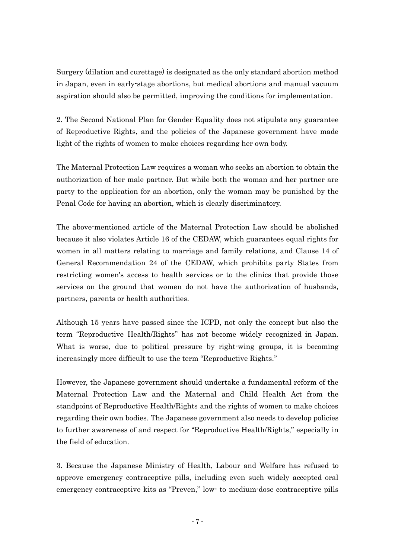Surgery (dilation and curettage) is designated as the only standard abortion method in Japan, even in early-stage abortions, but medical abortions and manual vacuum aspiration should also be permitted, [improving](javascript:goWordLink(%22improve%22)) the [conditions](javascript:goWordLink(%22conditions%22)) for implementation.

2. The Second National Plan for Gender Equality does not [stipulate](javascript:goWordLink(%22stipulate%22)) any guarantee of Reproductive Rights, and the policies of the Japanese government have made light of the rights of women to make choices regarding her own body.

The Maternal Protection Law requires a woman who seeks an abortion to obtain the authorization of her male partner. But while both the woman and her partner are party to the application for an abortion, only the woman may be punished by the Penal Code for having an abortion, which is clearly discriminatory.

The above-mentioned article of the Maternal Protection Law should be abolished because it also violates Article 16 of the CEDAW, which guarantees equal rights for women in all matters relating to marriage and family relations, and Clause 14 of General Recommendation 24 of the CEDAW, which prohibits party States from restricting women's access to health services or to the clinics that provide those services on the ground that women do not have the authorization of husbands, partners, parents or health authorities.

Although 15 years have passed since the ICPD, not only the concept but also the term "Reproductive Health/Rights" has not become widely recognized in Japan. What is worse, due to political pressure by right-wing groups, it is becoming increasingly more difficult to use the term "Reproductive Rights."

However, the Japanese government should undertake a fundamental reform of the Maternal Protection Law and the [Maternal](javascript:goWordLink(%22Maternal%22)) [and](javascript:goWordLink(%22and%22)) [Child](javascript:goWordLink(%22Child%22)) [Health](javascript:goWordLink(%22Health%22)) [Act](javascript:goWordLink(%22Act%22)) from the standpoint of Reproductive Health/Rights and the rights of women to make choices regarding their own bodies. The Japanese government also needs to develop policies to further awareness of and respect for "Reproductive Health/Rights," especially in the field of education.

3. Because the Japanese [Ministry](javascript:goWordLink(%22Ministry%22)) [of](javascript:goWordLink(%22of%22)) [Health,](javascript:goWordLink(%22Health%22)) [Labour](javascript:goWordLink(%22Labour%22)) [and](javascript:goWordLink(%22and%22)) [Welfare](javascript:goWordLink(%22Welfare%22)) has refused to approve emergency contraceptive pills, including even such widely accepted oral emergency contraceptive kits as "Preven," low- to medium-dose contraceptive pills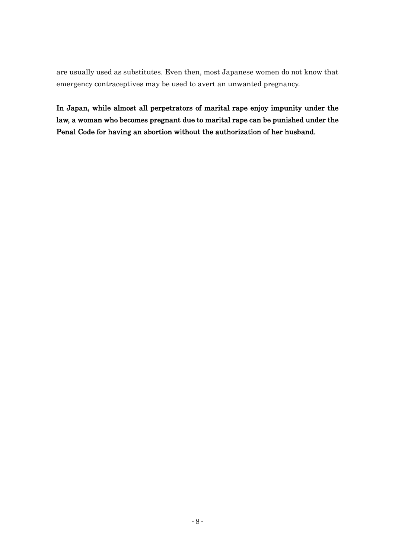are usually used as substitutes. Even then, most Japanese women do not know that emergency contraceptives may be used to avert an unwanted pregnancy.

In Japan, while almost all perpetrators of marital rape enjoy impunity under the law, a woman who becomes pregnant due to marital rape can be punished under the Penal Code for having an abortion without the authorization of her husband.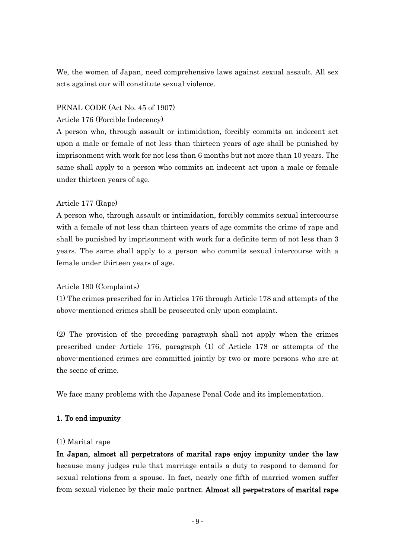We, the women of Japan, need comprehensive laws against sexual assault. All sex acts against our will constitute sexual violence.

## PENAL CODE (Act No. 45 of 1907)

## Article 176 (Forcible Indecency)

A person who, through assault or intimidation, forcibly commits an indecent act upon a male or female of not less than thirteen years of age shall be punished by imprisonment with work for not less than 6 months but not more than 10 years. The same shall apply to a person who commits an indecent act upon a male or female under thirteen years of age.

## Article 177 (Rape)

A person who, through assault or intimidation, forcibly commits sexual intercourse with a female of not less than thirteen years of age commits the crime of rape and shall be punished by imprisonment with work for a definite term of not less than 3 years. The same shall apply to a person who commits sexual intercourse with a female under thirteen years of age.

## Article 180 (Complaints)

(1) The crimes prescribed for in Articles 176 through Article 178 and attempts of the above-mentioned crimes shall be prosecuted only upon complaint.

(2) The provision of the preceding paragraph shall not apply when the crimes prescribed under Article 176, paragraph (1) of Article 178 or attempts of the above-mentioned crimes are committed jointly by two or more persons who are at the scene of crime.

We face many problems with the Japanese Penal Code and its implementation.

## 1. To end impunity

### (1) Marital rape

In Japan, almost all perpetrators of marital rape enjoy impunity under the law because many judges rule that marriage entails a duty to respond to demand for sexual relations from a spouse. In fact, nearly one fifth of married women suffer from sexual violence by their male partner. Almost all perpetrators of marital rape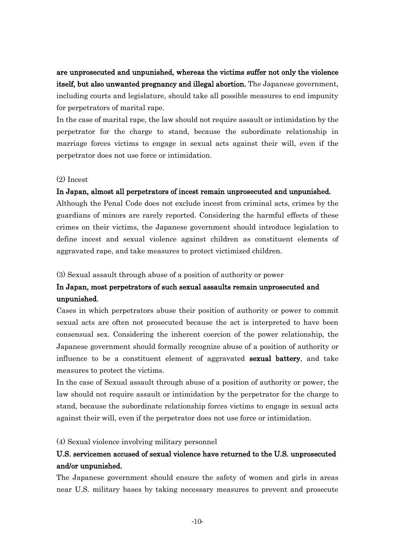are unprosecuted and unpunished, whereas the victims suffer not only the violence itself, but also unwanted pregnancy and illegal abortion. The Japanese government, including courts and legislature, should take all possible measures to end impunity for perpetrators of marital rape.

In the case of marital rape, the law should not require assault or intimidation by the perpetrator for the charge to stand, because the subordinate relationship in marriage forces victims to engage in sexual acts against their will, even if the perpetrator does not use force or intimidation.

### (2) Incest

## In Japan, almost all perpetrators of incest remain unprosecuted and unpunished.

Although the Penal Code does not exclude incest from criminal acts, crimes by the guardians of minors are rarely reported. Considering the harmful effects of these crimes on their victims, the Japanese government should introduce legislation to define incest and sexual violence against children as constituent elements of aggravated rape, and take measures to protect victimized children.

### (3) Sexual assault through abuse of a position of authority or power

## In Japan, most perpetrators of such sexual assaults remain unprosecuted and unpunished.

Cases in which perpetrators abuse their position of authority or power to commit sexual acts are often not prosecuted because the act is interpreted to have been consensual sex. Considering the inherent coercion of the power relationship, the Japanese government should formally recognize abuse of a position of authority or influence to be a constituent element of aggravated sexual battery, and take measures to protect the victims.

In the case of Sexual assault through abuse of a position of authority or power, the law should not require assault or intimidation by the perpetrator for the charge to stand, because the subordinate relationship forces victims to engage in sexual acts against their will, even if the perpetrator does not use force or intimidation.

### (4) Sexual violence involving military personnel

## U.S. servicemen accused of sexual violence have returned to the U.S. unprosecuted and/or unpunished.

The Japanese government should ensure the safety of women and girls in areas near U.S. military bases by taking necessary measures to prevent and prosecute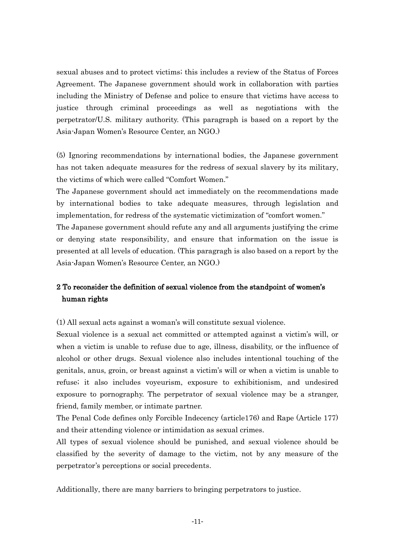sexual abuses and to protect victims; this includes a review of the Status of Forces Agreement. The Japanese government should work in collaboration with parties including the Ministry of Defense and police to ensure that victims have access to justice through criminal proceedings as well as negotiations with the perpetrator/U.S. military authority. (This paragraph is based on a report by the Asia-Japan Women's Resource Center, an NGO.)

(5) Ignoring recommendations by international bodies, the Japanese government has not taken adequate measures for the redress of sexual slavery by its military, the victims of which were called "Comfort Women."

The Japanese government should act immediately on the recommendations made by international bodies to take adequate measures, through legislation and implementation, for redress of the systematic victimization of "comfort women." The Japanese government should refute any and all arguments justifying the crime or denying state responsibility, and ensure that information on the issue is presented at all levels of education. (This paragragh is also based on a report by the Asia-Japan Women's Resource Center, an NGO.)

## 2 To reconsider the definition of sexual violence from the standpoint of women's human rights

(1) All sexual acts against a woman's will constitute sexual violence.

Sexual violence is a sexual act committed or attempted against a victim's will, or when a victim is unable to refuse due to age, illness, disability, or the influence of alcohol or other drugs. Sexual violence also includes intentional touching of the genitals, anus, groin, or breast against a victim's will or when a victim is unable to refuse; it also includes voyeurism, exposure to exhibitionism, and undesired exposure to pornography. The perpetrator of sexual violence may be a stranger, friend, family member, or intimate partner.

The Penal Code defines only Forcible Indecency (article176) and Rape (Article 177) and their attending violence or intimidation as sexual crimes.

All types of sexual violence should be punished, and sexual violence should be classified by the severity of damage to the victim, not by any measure of the perpetrator's perceptions or social precedents.

Additionally, there are many barriers to bringing perpetrators to justice.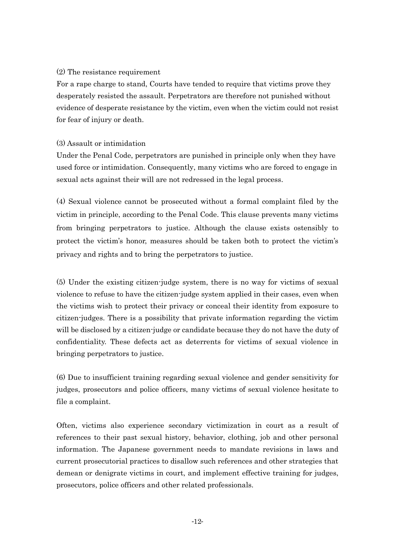## (2) The resistance requirement

For a rape charge to stand, Courts have tended to require that victims prove they desperately resisted the assault. Perpetrators are therefore not punished without evidence of desperate resistance by the victim, even when the victim could not resist for fear of injury or death.

## (3) Assault or intimidation

Under the Penal Code, perpetrators are punished in principle only when they have used force or intimidation. Consequently, many victims who are forced to engage in sexual acts against their will are not redressed in the legal process.

(4) Sexual violence cannot be prosecuted without a formal complaint filed by the victim in principle, according to the Penal Code. This clause prevents many victims from bringing perpetrators to justice. Although the clause exists ostensibly to protect the victim's honor, measures should be taken both to protect the victim's privacy and rights and to bring the perpetrators to justice.

(5) Under the existing citizen-judge system, there is no way for victims of sexual violence to refuse to have the citizen-judge system applied in their cases, even when the victims wish to protect their privacy or conceal their identity from exposure to citizen-judges. There is a possibility that private information regarding the victim will be disclosed by a citizen-judge or candidate because they do not have the duty of confidentiality. These defects act as deterrents for victims of sexual violence in bringing perpetrators to justice.

(6) Due to insufficient training regarding sexual violence and gender sensitivity for judges, prosecutors and police officers, many victims of sexual violence hesitate to file a complaint.

Often, victims also experience secondary victimization in court as a result of references to their past sexual history, behavior, clothing, job and other personal information. The Japanese government needs to mandate revisions in laws and current prosecutorial practices to disallow such references and other strategies that demean or denigrate victims in court, and implement effective training for judges, prosecutors, police officers and other related professionals.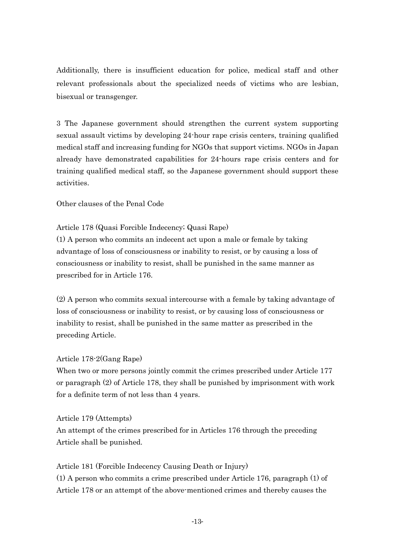Additionally, there is insufficient education for police, medical staff and other relevant professionals about the specialized needs of victims who are lesbian, bisexual or transgenger.

3 The Japanese government should strengthen the current system supporting sexual assault victims by developing 24-hour rape crisis centers, training qualified medical staff and increasing funding for NGOs that support victims. NGOs in Japan already have demonstrated capabilities for 24-hours rape crisis centers and for training qualified medical staff, so the Japanese government should support these activities.

Other clauses of the Penal Code

## Article 178 (Quasi Forcible Indecency; Quasi Rape)

(1) A person who commits an indecent act upon a male or female by taking advantage of loss of consciousness or inability to resist, or by causing a loss of consciousness or inability to resist, shall be punished in the same manner as prescribed for in Article 176.

(2) A person who commits sexual intercourse with a female by taking advantage of loss of consciousness or inability to resist, or by causing loss of consciousness or inability to resist, shall be punished in the same matter as prescribed in the preceding Article.

### Article 178-2(Gang Rape)

When two or more persons jointly commit the crimes prescribed under Article 177 or paragraph (2) of Article 178, they shall be punished by imprisonment with work for a definite term of not less than 4 years.

### Article 179 (Attempts)

An attempt of the crimes prescribed for in Articles 176 through the preceding Article shall be punished.

## Article 181 (Forcible Indecency Causing Death or Injury)

(1) A person who commits a crime prescribed under Article 176, paragraph (1) of Article 178 or an attempt of the above-mentioned crimes and thereby causes the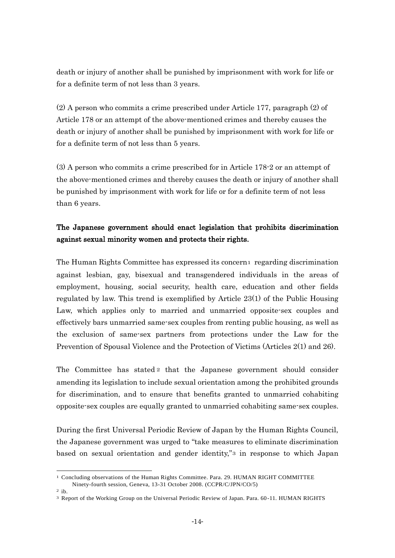death or injury of another shall be punished by imprisonment with work for life or for a definite term of not less than 3 years.

(2) A person who commits a crime prescribed under Article 177, paragraph (2) of Article 178 or an attempt of the above-mentioned crimes and thereby causes the death or injury of another shall be punished by imprisonment with work for life or for a definite term of not less than 5 years.

(3) A person who commits a crime prescribed for in Article 178-2 or an attempt of the above-mentioned crimes and thereby causes the death or injury of another shall be punished by imprisonment with work for life or for a definite term of not less than 6 years.

## The Japanese government should enact legislation that prohibits discrimination against sexual minority women and protects their rights.

The Human Rights Committee has expressed its concern1 regarding discrimination against lesbian, gay, bisexual and transgendered individuals in the areas of employment, housing, social security, health care, education and other fields regulated by law. This trend is exemplified by Article 23(1) of the Public Housing Law, which applies only to married and unmarried opposite-sex couples and effectively bars unmarried same-sex couples from renting public housing, as well as the exclusion of same-sex partners from protections under the Law for the Prevention of Spousal Violence and the Protection of Victims (Articles 2(1) and 26).

The Committee has stated 2 that the Japanese government should consider amending its legislation to include sexual orientation among the prohibited grounds for discrimination, and to ensure that benefits granted to unmarried cohabiting opposite-sex couples are equally granted to unmarried cohabiting same-sex couples.

During the first Universal Periodic Review of Japan by the Human Rights Council, the Japanese government was urged to "take measures to eliminate discrimination" based on sexual orientation and gender identity,"<sup>3</sup> in response to which Japan

 $\overline{\phantom{a}}$ 

<sup>1</sup> Concluding observations of the Human Rights Committee. Para. 29. HUMAN RIGHT COMMITTEE Ninety-fourth session, Geneva, 13-31 October 2008. (CCPR/C/JPN/CO/5)

 $2$  ib.

<sup>3</sup> Report of the Working Group on the Universal Periodic Review of Japan. Para. 60-11. HUMAN RIGHTS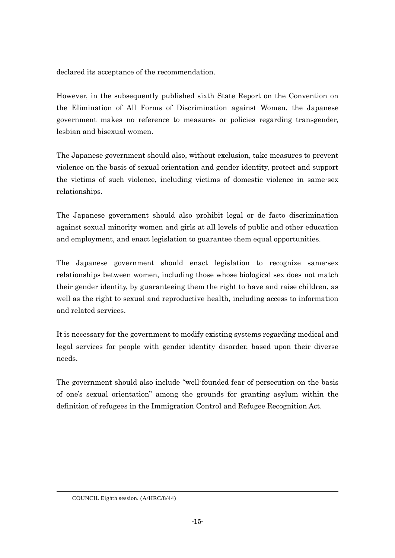declared its acceptance of the recommendation.

However, in the subsequently published sixth State Report on the Convention on the Elimination of All Forms of Discrimination against Women, the Japanese government makes no reference to measures or policies regarding transgender, lesbian and bisexual women.

The Japanese government should also, without exclusion, take measures to prevent violence on the basis of sexual orientation and gender identity, protect and support the victims of such violence, including victims of domestic violence in same-sex relationships.

The Japanese government should also prohibit legal or de facto discrimination against sexual minority women and girls at all levels of public and other education and employment, and enact legislation to guarantee them equal opportunities.

The Japanese government should enact legislation to recognize same-sex relationships between women, including those whose biological sex does not match their gender identity, by guaranteeing them the right to have and raise children, as well as the right to sexual and reproductive health, including access to information and related services.

It is necessary for the government to modify existing systems regarding medical and legal services for people with gender identity disorder, based upon their diverse needs.

The government should also include "well-founded fear of persecution on the basis of one's sexual orientation‖ among the grounds for granting asylum within the definition of refugees in the Immigration Control and Refugee Recognition Act.

-

COUNCIL Eighth session. (A/HRC/8/44)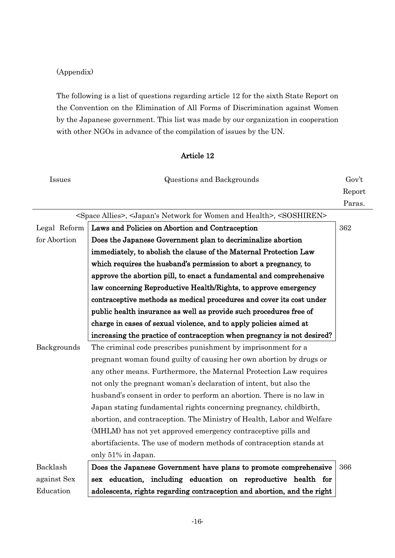## (Appendix)

The following is a list of questions regarding article 12 for the sixth State Report on the Convention on the Elimination of All Forms of Discrimination against Women by the Japanese government. This list was made by our organization in cooperation with other NGOs in advance of the compilation of issues by the UN.

## Article 12

| Issues       | <b>Questions and Backgrounds</b>                                                                                  | Gov't  |
|--------------|-------------------------------------------------------------------------------------------------------------------|--------|
|              |                                                                                                                   | Report |
|              |                                                                                                                   | Paras. |
|              | <space allies="">, <japan's and="" for="" health="" network="" women="">, <soshiren></soshiren></japan's></space> |        |
| Legal Reform | Laws and Policies on Abortion and Contraception                                                                   | 362    |
| for Abortion | Does the Japanese Government plan to decriminalize abortion                                                       |        |
|              | immediately, to abolish the clause of the Maternal Protection Law                                                 |        |
|              | which requires the husband's permission to abort a pregnancy, to                                                  |        |
|              | approve the abortion pill, to enact a fundamental and comprehensive                                               |        |
|              | law concerning Reproductive Health/Rights, to approve emergency                                                   |        |
|              | contraceptive methods as medical procedures and cover its cost under                                              |        |
|              | public health insurance as well as provide such procedures free of                                                |        |
|              | charge in cases of sexual violence, and to apply policies aimed at                                                |        |
|              | increasing the practice of contraception when pregnancy is not desired?                                           |        |
| Backgrounds  | The criminal code prescribes punishment by imprisonment for a                                                     |        |
|              | pregnant woman found guilty of causing her own abortion by drugs or                                               |        |
|              | any other means. Furthermore, the Maternal Protection Law requires                                                |        |
|              | not only the pregnant woman's declaration of intent, but also the                                                 |        |
|              | husband's consent in order to perform an abortion. There is no law in                                             |        |
|              | Japan stating fundamental rights concerning pregnancy, childbirth,                                                |        |
|              | abortion, and contraception. The Ministry of Health, Labor and Welfare                                            |        |
|              | (MHLM) has not yet approved emergency contraceptive pills and                                                     |        |
|              | abortifacients. The use of modern methods of contraception stands at                                              |        |
|              | only 51% in Japan.                                                                                                |        |
| Backlash     | Does the Japanese Government have plans to promote comprehensive                                                  | 366    |
| against Sex  | sex education, including education on reproductive health for                                                     |        |
| Education    | adolescents, rights regarding contraception and abortion, and the right                                           |        |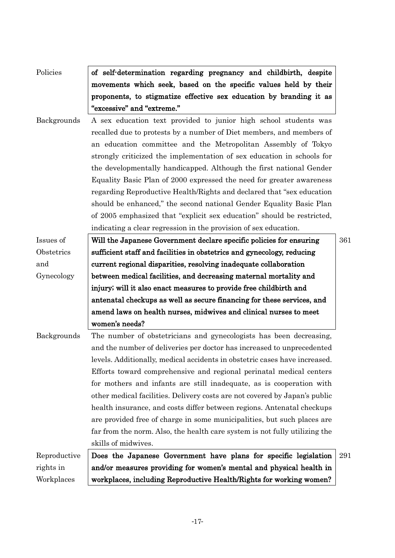| Policies     | of self-determination regarding pregnancy and childbirth, despite          |     |
|--------------|----------------------------------------------------------------------------|-----|
|              | movements which seek, based on the specific values held by their           |     |
|              | proponents, to stigmatize effective sex education by branding it as        |     |
|              | "excessive" and "extreme."                                                 |     |
| Backgrounds  | A sex education text provided to junior high school students was           |     |
|              | recalled due to protests by a number of Diet members, and members of       |     |
|              | an education committee and the Metropolitan Assembly of Tokyo              |     |
|              | strongly criticized the implementation of sex education in schools for     |     |
|              | the developmentally handicapped. Although the first national Gender        |     |
|              | Equality Basic Plan of 2000 expressed the need for greater awareness       |     |
|              | regarding Reproductive Health/Rights and declared that "sex education"     |     |
|              | should be enhanced," the second national Gender Equality Basic Plan        |     |
|              | of 2005 emphasized that "explicit sex education" should be restricted,     |     |
|              | indicating a clear regression in the provision of sex education.           |     |
| Issues of    | Will the Japanese Government declare specific policies for ensuring        | 361 |
| Obstetrics   | sufficient staff and facilities in obstetrics and gynecology, reducing     |     |
| and          | current regional disparities, resolving inadequate collaboration           |     |
| Gynecology   | between medical facilities, and decreasing maternal mortality and          |     |
|              | injury; will it also enact measures to provide free childbirth and         |     |
|              | antenatal checkups as well as secure financing for these services, and     |     |
|              | amend laws on health nurses, midwives and clinical nurses to meet          |     |
|              | women's needs?                                                             |     |
| Backgrounds  | The number of obstetricians and gynecologists has been decreasing,         |     |
|              | and the number of deliveries per doctor has increased to unprecedented     |     |
|              | levels. Additionally, medical accidents in obstetric cases have increased. |     |
|              | Efforts toward comprehensive and regional perinatal medical centers        |     |
|              | for mothers and infants are still inadequate, as is cooperation with       |     |
|              | other medical facilities. Delivery costs are not covered by Japan's public |     |
|              | health insurance, and costs differ between regions. Antenatal checkups     |     |
|              | are provided free of charge in some municipalities, but such places are    |     |
|              | far from the norm. Also, the health care system is not fully utilizing the |     |
|              | skills of midwives.                                                        |     |
| Reproductive | Does the Japanese Government have plans for specific legislation           | 291 |
| rights in    | and/or measures providing for women's mental and physical health in        |     |
| Workplaces   | workplaces, including Reproductive Health/Rights for working women?        |     |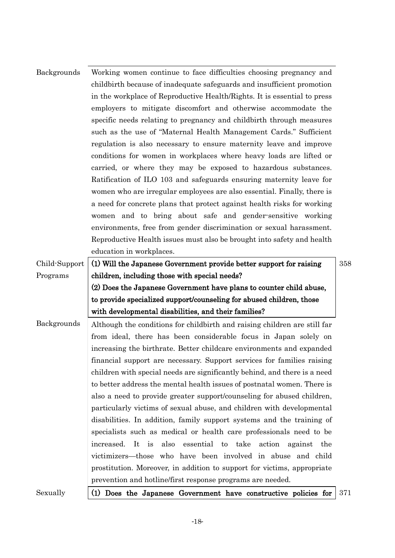| <b>Backgrounds</b> | Working women continue to face difficulties choosing pregnancy and<br>child birth because of inadequate safeguards and insufficient promotion<br>in the workplace of Reproductive Health/Rights. It is essential to press<br>employers to mitigate discomfort and otherwise accommodate the<br>specific needs relating to pregnancy and child birth through measures<br>such as the use of "Maternal Health Management Cards." Sufficient<br>regulation is also necessary to ensure maternity leave and improve<br>conditions for women in workplaces where heavy loads are lifted or |     |
|--------------------|---------------------------------------------------------------------------------------------------------------------------------------------------------------------------------------------------------------------------------------------------------------------------------------------------------------------------------------------------------------------------------------------------------------------------------------------------------------------------------------------------------------------------------------------------------------------------------------|-----|
|                    | carried, or where they may be exposed to hazardous substances.<br>Ratification of ILO 103 and safeguards ensuring maternity leave for<br>women who are irregular employees are also essential. Finally, there is                                                                                                                                                                                                                                                                                                                                                                      |     |
|                    | a need for concrete plans that protect against health risks for working<br>women and to bring about safe and gender-sensitive working<br>environments, free from gender discrimination or sexual harassment.                                                                                                                                                                                                                                                                                                                                                                          |     |
|                    | Reproductive Health issues must also be brought into safety and health<br>education in workplaces.                                                                                                                                                                                                                                                                                                                                                                                                                                                                                    |     |
| Child-Support      | (1) Will the Japanese Government provide better support for raising                                                                                                                                                                                                                                                                                                                                                                                                                                                                                                                   | 358 |
| Programs           | children, including those with special needs?                                                                                                                                                                                                                                                                                                                                                                                                                                                                                                                                         |     |
|                    | (2) Does the Japanese Government have plans to counter child abuse,                                                                                                                                                                                                                                                                                                                                                                                                                                                                                                                   |     |
|                    | to provide specialized support/counseling for abused children, those                                                                                                                                                                                                                                                                                                                                                                                                                                                                                                                  |     |
|                    | with developmental disabilities, and their families?                                                                                                                                                                                                                                                                                                                                                                                                                                                                                                                                  |     |
| <b>Backgrounds</b> | Although the conditions for child birth and raising children are still far                                                                                                                                                                                                                                                                                                                                                                                                                                                                                                            |     |
|                    | from ideal, there has been considerable focus in Japan solely on                                                                                                                                                                                                                                                                                                                                                                                                                                                                                                                      |     |
|                    | increasing the birthrate. Better childcare environments and expanded                                                                                                                                                                                                                                                                                                                                                                                                                                                                                                                  |     |
|                    | financial support are necessary. Support services for families raising                                                                                                                                                                                                                                                                                                                                                                                                                                                                                                                |     |
|                    | children with special needs are significantly behind, and there is a need                                                                                                                                                                                                                                                                                                                                                                                                                                                                                                             |     |
|                    | to better address the mental health issues of postnatal women. There is                                                                                                                                                                                                                                                                                                                                                                                                                                                                                                               |     |
|                    | also a need to provide greater support/counseling for abused children,                                                                                                                                                                                                                                                                                                                                                                                                                                                                                                                |     |
|                    | particularly victims of sexual abuse, and children with developmental                                                                                                                                                                                                                                                                                                                                                                                                                                                                                                                 |     |
|                    | disabilities. In addition, family support systems and the training of                                                                                                                                                                                                                                                                                                                                                                                                                                                                                                                 |     |
|                    | specialists such as medical or health care professionals need to be                                                                                                                                                                                                                                                                                                                                                                                                                                                                                                                   |     |
|                    | increased. It is<br>also<br>essential to take<br>action against the                                                                                                                                                                                                                                                                                                                                                                                                                                                                                                                   |     |
|                    | victimizers—those who have been involved in abuse and child                                                                                                                                                                                                                                                                                                                                                                                                                                                                                                                           |     |
|                    | prostitution. Moreover, in addition to support for victims, appropriate                                                                                                                                                                                                                                                                                                                                                                                                                                                                                                               |     |
|                    | prevention and hot line/first response programs are needed.                                                                                                                                                                                                                                                                                                                                                                                                                                                                                                                           |     |
| Sexually           | (1) Does the Japanese Government have constructive policies for                                                                                                                                                                                                                                                                                                                                                                                                                                                                                                                       | 371 |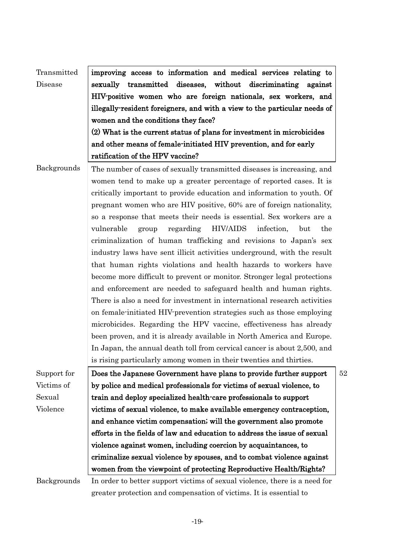| Transmitted | improving access to information and medical services relating to           |    |
|-------------|----------------------------------------------------------------------------|----|
| Disease     | sexually transmitted diseases, without discriminating against              |    |
|             | HIV-positive women who are foreign nationals, sex workers, and             |    |
|             | illegally-resident foreigners, and with a view to the particular needs of  |    |
|             | women and the conditions they face?                                        |    |
|             | (2) What is the current status of plans for investment in microbicides     |    |
|             | and other means of female-initiated HIV prevention, and for early          |    |
|             | ratification of the HPV vaccine?                                           |    |
| Backgrounds | The number of cases of sexually transmitted diseases is increasing, and    |    |
|             | women tend to make up a greater percentage of reported cases. It is        |    |
|             | critically important to provide education and information to youth. Of     |    |
|             | pregnant women who are HIV positive, 60% are of foreign nationality,       |    |
|             | so a response that meets their needs is essential. Sex workers are a       |    |
|             | vulnerable<br>HIV/AIDS<br>infection,<br>group<br>regarding<br>but<br>the   |    |
|             | criminalization of human trafficking and revisions to Japan's sex          |    |
|             | industry laws have sent illicit activities underground, with the result    |    |
|             | that human rights violations and health hazards to workers have            |    |
|             | become more difficult to prevent or monitor. Stronger legal protections    |    |
|             | and enforcement are needed to safeguard health and human rights.           |    |
|             | There is also a need for investment in international research activities   |    |
|             | on female-initiated HIV prevention strategies such as those employing      |    |
|             | microbicides. Regarding the HPV vaccine, effectiveness has already         |    |
|             | been proven, and it is already available in North America and Europe.      |    |
|             | In Japan, the annual death toll from cervical cancer is about 2,500, and   |    |
|             | is rising particularly among women in their twenties and thirties.         |    |
| Support for | Does the Japanese Government have plans to provide further support         | 52 |
| Victims of  | by police and medical professionals for victims of sexual violence, to     |    |
| Sexual      | train and deploy specialized health-care professionals to support          |    |
| Violence    | victims of sexual violence, to make available emergency contraception,     |    |
|             | and enhance victim compensation; will the government also promote          |    |
|             | efforts in the fields of law and education to address the issue of sexual  |    |
|             | violence against women, including coercion by acquaintances, to            |    |
|             | criminalize sexual violence by spouses, and to combat violence against     |    |
|             | women from the viewpoint of protecting Reproductive Health/Rights?         |    |
| Backgrounds | In order to better support victims of sexual violence, there is a need for |    |
|             | greater protection and compensation of victims. It is essential to         |    |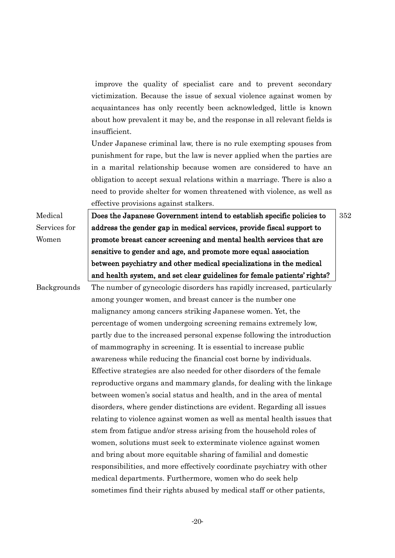improve the quality of specialist care and to prevent secondary victimization. Because the issue of sexual violence against women by acquaintances has only recently been acknowledged, little is known about how prevalent it may be, and the response in all relevant fields is insufficient.

Under Japanese criminal law, there is no rule exempting spouses from punishment for rape, but the law is never applied when the parties are in a marital relationship because women are considered to have an obligation to accept sexual relations within a marriage. There is also a need to provide shelter for women threatened with violence, as well as effective provisions against stalkers.

Medical Services for Women

Does the Japanese Government intend to establish specific policies to address the gender gap in medical services, provide fiscal support to promote breast cancer screening and mental health services that are sensitive to gender and age, and promote more equal association between psychiatry and other medical specializations in the medical and health system, and set clear guidelines for female patients' rights?

352

Backgrounds The number of gynecologic disorders has rapidly increased, particularly among younger women, and breast cancer is the number one malignancy among cancers striking Japanese women. Yet, the percentage of women undergoing screening remains extremely low, partly due to the increased personal expense following the introduction of mammography in screening. It is essential to increase public awareness while reducing the financial cost borne by individuals. Effective strategies are also needed for other disorders of the female reproductive organs and mammary glands, for dealing with the linkage between women's social status and health, and in the area of mental disorders, where gender distinctions are evident. Regarding all issues relating to violence against women as well as mental health issues that stem from fatigue and/or stress arising from the household roles of women, solutions must seek to exterminate violence against women and bring about more equitable sharing of familial and domestic responsibilities, and more effectively coordinate psychiatry with other medical departments. Furthermore, women who do seek help sometimes find their rights abused by medical staff or other patients,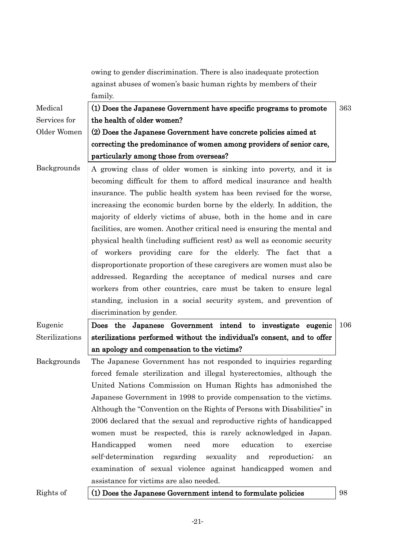|                    | owing to gender discrimination. There is also inadequate protection        |     |
|--------------------|----------------------------------------------------------------------------|-----|
|                    | against abuses of women's basic human rights by members of their           |     |
|                    | family.                                                                    |     |
| Medical            | (1) Does the Japanese Government have specific programs to promote         | 363 |
| Services for       | the health of older women?                                                 |     |
| Older Women        | (2) Does the Japanese Government have concrete policies aimed at           |     |
|                    | correcting the predominance of women among providers of senior care,       |     |
|                    | particularly among those from overseas?                                    |     |
| Backgrounds        | A growing class of older women is sinking into poverty, and it is          |     |
|                    | becoming difficult for them to afford medical insurance and health         |     |
|                    | insurance. The public health system has been revised for the worse,        |     |
|                    | increasing the economic burden borne by the elderly. In addition, the      |     |
|                    | majority of elderly victims of abuse, both in the home and in care         |     |
|                    | facilities, are women. Another critical need is ensuring the mental and    |     |
|                    | physical health (including sufficient rest) as well as economic security   |     |
|                    | of workers providing care for the elderly. The fact that a                 |     |
|                    | disproportionate proportion of these caregivers are women must also be     |     |
|                    | addressed. Regarding the acceptance of medical nurses and care             |     |
|                    | workers from other countries, care must be taken to ensure legal           |     |
|                    | standing, inclusion in a social security system, and prevention of         |     |
|                    | discrimination by gender.                                                  |     |
| Eugenic            | Does the Japanese Government intend to investigate eugenic                 | 106 |
| Sterilizations     | sterilizations performed without the individual's consent, and to offer    |     |
|                    | an apology and compensation to the victims?                                |     |
| <b>Backgrounds</b> | The Japanese Government has not responded to inquiries regarding           |     |
|                    | forced female sterilization and illegal hysterectomies, although the       |     |
|                    | United Nations Commission on Human Rights has admonished the               |     |
|                    | Japanese Government in 1998 to provide compensation to the victims.        |     |
|                    | Although the "Convention on the Rights of Persons with Disabilities" in    |     |
|                    | 2006 declared that the sexual and reproductive rights of handicapped       |     |
|                    | women must be respected, this is rarely acknowledged in Japan.             |     |
|                    | Handicapped<br>need<br>education<br>more<br>to<br>exercise<br>women        |     |
|                    | self-determination<br>regarding<br>sexuality<br>and<br>reproduction;<br>an |     |
|                    | examination of sexual violence against handicapped women and               |     |
|                    | assistance for victims are also needed.                                    |     |
| Rights of          | (1) Does the Japanese Government intend to formulate policies              | 98  |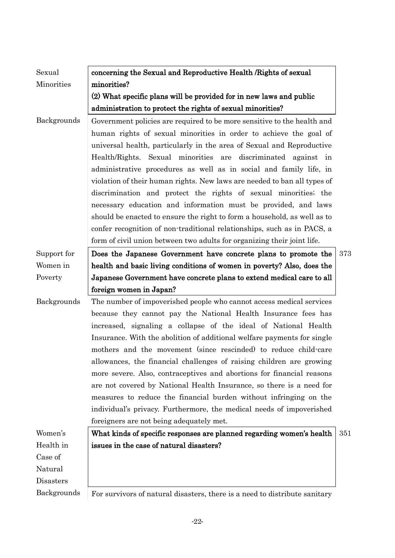| Sexual                   | concerning the Sexual and Reproductive Health / Rights of sexual                                                                             |     |
|--------------------------|----------------------------------------------------------------------------------------------------------------------------------------------|-----|
| Minorities               | minorities?                                                                                                                                  |     |
|                          | (2) What specific plans will be provided for in new laws and public                                                                          |     |
|                          | administration to protect the rights of sexual minorities?                                                                                   |     |
| <b>Backgrounds</b>       | Government policies are required to be more sensitive to the health and<br>human rights of sexual minorities in order to achieve the goal of |     |
|                          | universal health, particularly in the area of Sexual and Reproductive                                                                        |     |
|                          | Health/Rights. Sexual minorities are discriminated against in                                                                                |     |
|                          | administrative procedures as well as in social and family life, in                                                                           |     |
|                          | violation of their human rights. New laws are needed to ban all types of                                                                     |     |
|                          | discrimination and protect the rights of sexual minorities; the                                                                              |     |
|                          | necessary education and information must be provided, and laws                                                                               |     |
|                          | should be enacted to ensure the right to form a household, as well as to                                                                     |     |
|                          | confer recognition of non-traditional relationships, such as in PACS, a                                                                      |     |
|                          | form of civil union between two adults for organizing their joint life.                                                                      |     |
| Support for              | Does the Japanese Government have concrete plans to promote the                                                                              | 373 |
| Women in                 | health and basic living conditions of women in poverty? Also, does the                                                                       |     |
| Poverty                  | Japanese Government have concrete plans to extend medical care to all                                                                        |     |
|                          |                                                                                                                                              |     |
|                          | foreign women in Japan?                                                                                                                      |     |
| Backgrounds              | The number of impoverished people who cannot access medical services                                                                         |     |
|                          | because they cannot pay the National Health Insurance fees has                                                                               |     |
|                          | increased, signaling a collapse of the ideal of National Health                                                                              |     |
|                          | Insurance. With the abolition of additional welfare payments for single                                                                      |     |
|                          | mothers and the movement (since rescinded) to reduce child-care                                                                              |     |
|                          | allowances, the financial challenges of raising children are growing                                                                         |     |
|                          | more severe. Also, contraceptives and abortions for financial reasons                                                                        |     |
|                          | are not covered by National Health Insurance, so there is a need for                                                                         |     |
|                          | measures to reduce the financial burden without infringing on the                                                                            |     |
|                          | individual's privacy. Furthermore, the medical needs of impoverished                                                                         |     |
|                          | foreigners are not being adequately met.                                                                                                     |     |
| Women's                  | What kinds of specific responses are planned regarding women's health                                                                        | 351 |
| Health in                | issues in the case of natural disasters?                                                                                                     |     |
| Case of                  |                                                                                                                                              |     |
| Natural                  |                                                                                                                                              |     |
| Disasters<br>Backgrounds | For survivors of natural disasters, there is a need to distribute sanitary                                                                   |     |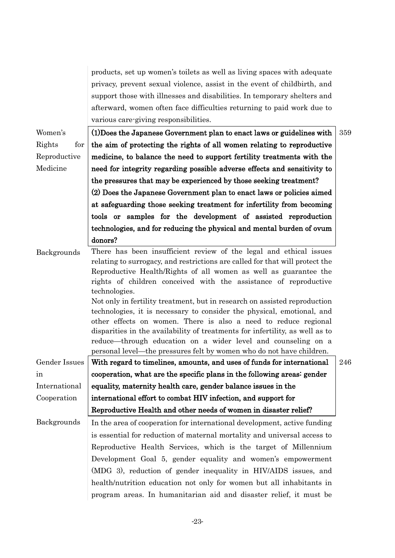|               | products, set up women's toilets as well as living spaces with adequate                                                               |     |
|---------------|---------------------------------------------------------------------------------------------------------------------------------------|-----|
|               | privacy, prevent sexual violence, assist in the event of childbirth, and                                                              |     |
|               | support those with illnesses and disabilities. In temporary shelters and                                                              |     |
|               | afterward, women often face difficulties returning to paid work due to                                                                |     |
|               | various care-giving responsibilities.                                                                                                 |     |
| Women's       | (1) Does the Japanese Government plan to enact laws or guidelines with                                                                | 359 |
| Rights<br>for | the aim of protecting the rights of all women relating to reproductive                                                                |     |
| Reproductive  | medicine, to balance the need to support fertility treatments with the                                                                |     |
| Medicine      | need for integrity regarding possible adverse effects and sensitivity to                                                              |     |
|               | the pressures that may be experienced by those seeking treatment?                                                                     |     |
|               | (2) Does the Japanese Government plan to enact laws or policies aimed                                                                 |     |
|               | at safeguarding those seeking treatment for infertility from becoming                                                                 |     |
|               | tools or samples for the development of assisted reproduction                                                                         |     |
|               | technologies, and for reducing the physical and mental burden of ovum                                                                 |     |
|               | donors?                                                                                                                               |     |
| Backgrounds   | There has been insufficient review of the legal and ethical issues                                                                    |     |
|               | relating to surrogacy, and restrictions are called for that will protect the                                                          |     |
|               | Reproductive Health/Rights of all women as well as guarantee the<br>rights of children conceived with the assistance of reproductive  |     |
|               | technologies.                                                                                                                         |     |
|               | Not only in fertility treatment, but in research on assisted reproduction                                                             |     |
|               | technologies, it is necessary to consider the physical, emotional, and                                                                |     |
|               | other effects on women. There is also a need to reduce regional                                                                       |     |
|               | disparities in the availability of treatments for infertility, as well as to                                                          |     |
|               | reduce—through education on a wider level and counseling on a<br>personal level—the pressures felt by women who do not have children. |     |
|               | Gender Issues   With regard to timelines, amounts, and uses of funds for international                                                | 246 |
| in            | cooperation, what are the specific plans in the following areas: gender                                                               |     |
| International | equality, maternity health care, gender balance issues in the                                                                         |     |
| Cooperation   | international effort to combat HIV infection, and support for                                                                         |     |
|               | Reproductive Health and other needs of women in disaster relief?                                                                      |     |
| Backgrounds   | In the area of cooperation for international development, active funding                                                              |     |
|               | is essential for reduction of maternal mortality and universal access to                                                              |     |
|               | Reproductive Health Services, which is the target of Millennium                                                                       |     |
|               | Development Goal 5, gender equality and women's empowerment                                                                           |     |
|               | (MDG 3), reduction of gender inequality in HIV/AIDS issues, and                                                                       |     |
|               | health/nutrition education not only for women but all inhabitants in                                                                  |     |
|               | program areas. In humanitarian aid and disaster relief, it must be                                                                    |     |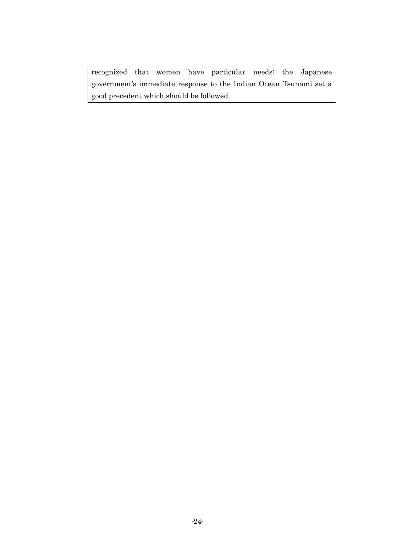recognized that women have particular needs; the Japanese government's immediate response to the Indian Ocean Tsunami set a good precedent which should be followed.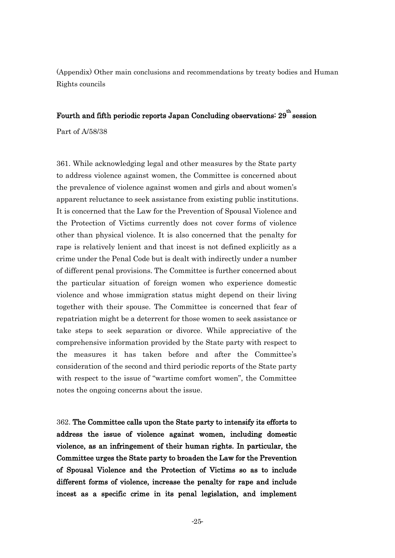(Appendix) Other main conclusions and recommendations by treaty bodies and Human Rights councils

## Fourth and fifth periodic reports Japan Concluding observations:  $29^{\text{th}}$  session

Part of A/58/38

361. While acknowledging legal and other measures by the State party to address violence against women, the Committee is concerned about the prevalence of violence against women and girls and about women's apparent reluctance to seek assistance from existing public institutions. It is concerned that the Law for the Prevention of Spousal Violence and the Protection of Victims currently does not cover forms of violence other than physical violence. It is also concerned that the penalty for rape is relatively lenient and that incest is not defined explicitly as a crime under the Penal Code but is dealt with indirectly under a number of different penal provisions. The Committee is further concerned about the particular situation of foreign women who experience domestic violence and whose immigration status might depend on their living together with their spouse. The Committee is concerned that fear of repatriation might be a deterrent for those women to seek assistance or take steps to seek separation or divorce. While appreciative of the comprehensive information provided by the State party with respect to the measures it has taken before and after the Committee's consideration of the second and third periodic reports of the State party with respect to the issue of "wartime comfort women", the Committee notes the ongoing concerns about the issue.

362. The Committee calls upon the State party to intensify its efforts to address the issue of violence against women, including domestic violence, as an infringement of their human rights. In particular, the Committee urges the State party to broaden the Law for the Prevention of Spousal Violence and the Protection of Victims so as to include different forms of violence, increase the penalty for rape and include incest as a specific crime in its penal legislation, and implement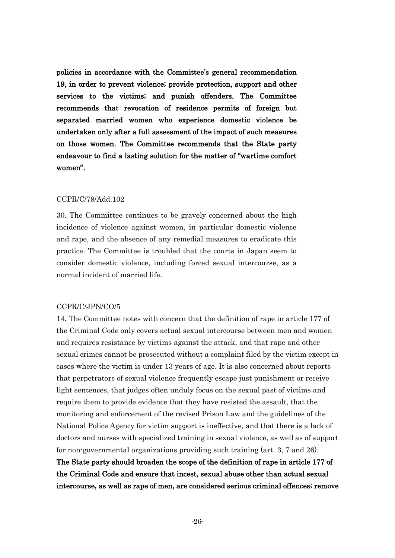policies in accordance with the Committee's general recommendation 19, in order to prevent violence; provide protection, support and other services to the victims; and punish offenders. The Committee recommends that revocation of residence permits of foreign but separated married women who experience domestic violence be undertaken only after a full assessment of the impact of such measures on those women. The Committee recommends that the State party endeavour to find a lasting solution for the matter of "wartime comfort" women".

#### CCPR/C/79/Add.102

30. The Committee continues to be gravely concerned about the high incidence of violence against women, in particular domestic violence and rape, and the absence of any remedial measures to eradicate this practice. The Committee is troubled that the courts in Japan seem to consider domestic violence, including forced sexual intercourse, as a normal incident of married life.

#### CCPR/C/JPN/CO/5

14. The Committee notes with concern that the definition of rape in article 177 of the Criminal Code only covers actual sexual intercourse between men and women and requires resistance by victims against the attack, and that rape and other sexual crimes cannot be prosecuted without a complaint filed by the victim except in cases where the victim is under 13 years of age. It is also concerned about reports that perpetrators of sexual violence frequently escape just punishment or receive light sentences, that judges often unduly focus on the sexual past of victims and require them to provide evidence that they have resisted the assault, that the monitoring and enforcement of the revised Prison Law and the guidelines of the National Police Agency for victim support is ineffective, and that there is a lack of doctors and nurses with specialized training in sexual violence, as well as of support for non-governmental organizations providing such training (art. 3, 7 and 26).

The State party should broaden the scope of the definition of rape in article 177 of the Criminal Code and ensure that incest, sexual abuse other than actual sexual intercourse, as well as rape of men, are considered serious criminal offences; remove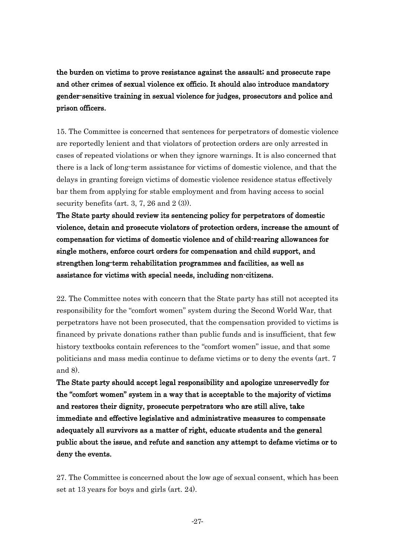the burden on victims to prove resistance against the assault; and prosecute rape and other crimes of sexual violence ex officio. It should also introduce mandatory gender-sensitive training in sexual violence for judges, prosecutors and police and prison officers.

15. The Committee is concerned that sentences for perpetrators of domestic violence are reportedly lenient and that violators of protection orders are only arrested in cases of repeated violations or when they ignore warnings. It is also concerned that there is a lack of long-term assistance for victims of domestic violence, and that the delays in granting foreign victims of domestic violence residence status effectively bar them from applying for stable employment and from having access to social security benefits (art. 3, 7, 26 and 2 (3)).

The State party should review its sentencing policy for perpetrators of domestic violence, detain and prosecute violators of protection orders, increase the amount of compensation for victims of domestic violence and of child-rearing allowances for single mothers, enforce court orders for compensation and child support, and strengthen long-term rehabilitation programmes and facilities, as well as assistance for victims with special needs, including non-citizens.

22. The Committee notes with concern that the State party has still not accepted its responsibility for the "comfort women" system during the Second World War, that perpetrators have not been prosecuted, that the compensation provided to victims is financed by private donations rather than public funds and is insufficient, that few history textbooks contain references to the "comfort women" issue, and that some politicians and mass media continue to defame victims or to deny the events (art. 7 and 8).

The State party should accept legal responsibility and apologize unreservedly for the "comfort women" system in a way that is acceptable to the majority of victims and restores their dignity, prosecute perpetrators who are still alive, take immediate and effective legislative and administrative measures to compensate adequately all survivors as a matter of right, educate students and the general public about the issue, and refute and sanction any attempt to defame victims or to deny the events.

27. The Committee is concerned about the low age of sexual consent, which has been set at 13 years for boys and girls (art. 24).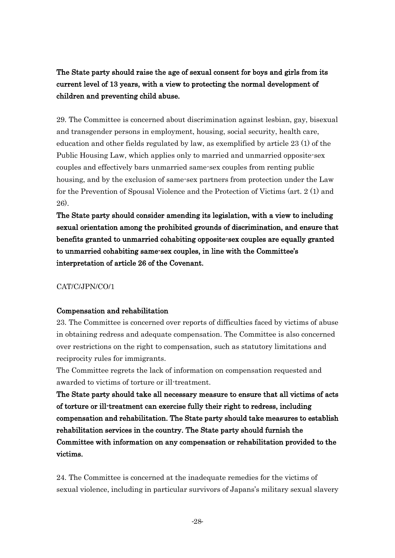The State party should raise the age of sexual consent for boys and girls from its current level of 13 years, with a view to protecting the normal development of children and preventing child abuse.

29. The Committee is concerned about discrimination against lesbian, gay, bisexual and transgender persons in employment, housing, social security, health care, education and other fields regulated by law, as exemplified by article 23 (1) of the Public Housing Law, which applies only to married and unmarried opposite-sex couples and effectively bars unmarried same-sex couples from renting public housing, and by the exclusion of same-sex partners from protection under the Law for the Prevention of Spousal Violence and the Protection of Victims (art. 2 (1) and 26).

The State party should consider amending its legislation, with a view to including sexual orientation among the prohibited grounds of discrimination, and ensure that benefits granted to unmarried cohabiting opposite-sex couples are equally granted to unmarried cohabiting same-sex couples, in line with the Committee's interpretation of article 26 of the Covenant.

CAT/C/JPN/CO/1

## Compensation and rehabilitation

23. The Committee is concerned over reports of difficulties faced by victims of abuse in obtaining redress and adequate compensation. The Committee is also concerned over restrictions on the right to compensation, such as statutory limitations and reciprocity rules for immigrants.

The Committee regrets the lack of information on compensation requested and awarded to victims of torture or ill-treatment.

The State party should take all necessary measure to ensure that all victims of acts of torture or ill-treatment can exercise fully their right to redress, including compensation and rehabilitation. The State party should take measures to establish rehabilitation services in the country. The State party should furnish the Committee with information on any compensation or rehabilitation provided to the victims.

24. The Committee is concerned at the inadequate remedies for the victims of sexual violence, including in particular survivors of Japans's military sexual slavery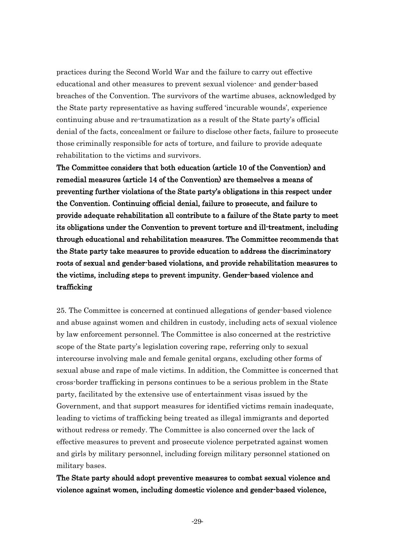practices during the Second World War and the failure to carry out effective educational and other measures to prevent sexual violence- and gender-based breaches of the Convention. The survivors of the wartime abuses, acknowledged by the State party representative as having suffered ‗incurable wounds', experience continuing abuse and re-traumatization as a result of the State party's official denial of the facts, concealment or failure to disclose other facts, failure to prosecute those criminally responsible for acts of torture, and failure to provide adequate rehabilitation to the victims and survivors.

The Committee considers that both education (article 10 of the Convention) and remedial measures (article 14 of the Convention) are themselves a means of preventing further violations of the State party's obligations in this respect under the Convention. Continuing official denial, failure to prosecute, and failure to provide adequate rehabilitation all contribute to a failure of the State party to meet its obligations under the Convention to prevent torture and ill-treatment, including through educational and rehabilitation measures. The Committee recommends that the State party take measures to provide education to address the discriminatory roots of sexual and gender-based violations, and provide rehabilitation measures to the victims, including steps to prevent impunity. Gender-based violence and trafficking

25. The Committee is concerned at continued allegations of gender-based violence and abuse against women and children in custody, including acts of sexual violence by law enforcement personnel. The Committee is also concerned at the restrictive scope of the State party's legislation covering rape, referring only to sexual intercourse involving male and female genital organs, excluding other forms of sexual abuse and rape of male victims. In addition, the Committee is concerned that cross-border trafficking in persons continues to be a serious problem in the State party, facilitated by the extensive use of entertainment visas issued by the Government, and that support measures for identified victims remain inadequate, leading to victims of trafficking being treated as illegal immigrants and deported without redress or remedy. The Committee is also concerned over the lack of effective measures to prevent and prosecute violence perpetrated against women and girls by military personnel, including foreign military personnel stationed on military bases.

## The State party should adopt preventive measures to combat sexual violence and violence against women, including domestic violence and gender-based violence,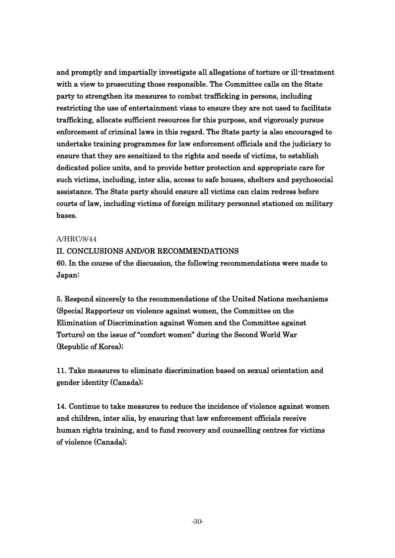and promptly and impartially investigate all allegations of torture or ill-treatment with a view to prosecuting those responsible. The Committee calls on the State party to strengthen its measures to combat trafficking in persons, including restricting the use of entertainment visas to ensure they are not used to facilitate trafficking, allocate sufficient resources for this purpose, and vigorously pursue enforcement of criminal laws in this regard. The State party is also encouraged to undertake training programmes for law enforcement officials and the judiciary to ensure that they are sensitized to the rights and needs of victims, to establish dedicated police units, and to provide better protection and appropriate care for such victims, including, inter alia, access to safe houses, shelters and psychosocial assistance. The State party should ensure all victims can claim redress before courts of law, including victims of foreign military personnel stationed on military bases.

#### A/HRC/8/44

## II. CONCLUSIONS AND/OR RECOMMENDATIONS

60. In the course of the discussion, the following recommendations were made to Japan:

5. Respond sincerely to the recommendations of the United Nations mechanisms (Special Rapporteur on violence against women, the Committee on the Elimination of Discrimination against Women and the Committee against Torture) on the issue of "comfort women" during the Second World War (Republic of Korea);

11. Take measures to eliminate discrimination based on sexual orientation and gender identity (Canada);

14. Continue to take measures to reduce the incidence of violence against women and children, inter alia, by ensuring that law enforcement officials receive human rights training, and to fund recovery and counselling centres for victims of violence (Canada);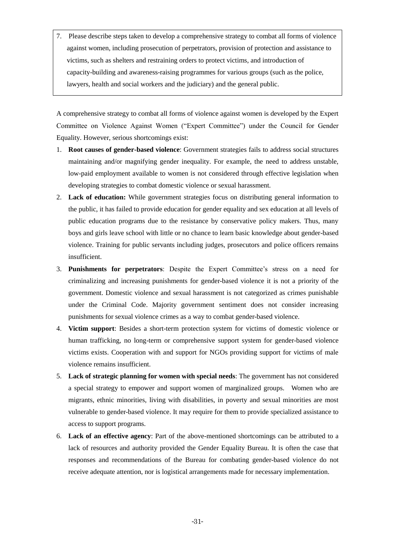7. Please describe steps taken to develop a comprehensive strategy to combat all forms of violence against women, including prosecution of perpetrators, provision of protection and assistance to victims, such as shelters and restraining orders to protect victims, and introduction of capacity-building and awareness-raising programmes for various groups (such as the police, lawyers, health and social workers and the judiciary) and the general public.

A comprehensive strategy to combat all forms of violence against women is developed by the Expert Committee on Violence Against Women ("Expert Committee") under the Council for Gender Equality. However, serious shortcomings exist:

- 1. **Root causes of gender-based violence**: Government strategies fails to address social structures maintaining and/or magnifying gender inequality. For example, the need to address unstable, low-paid employment available to women is not considered through effective legislation when developing strategies to combat domestic violence or sexual harassment.
- 2. **Lack of education:** While government strategies focus on distributing general information to the public, it has failed to provide education for gender equality and sex education at all levels of public education programs due to the resistance by conservative policy makers. Thus, many boys and girls leave school with little or no chance to learn basic knowledge about gender-based violence. Training for public servants including judges, prosecutors and police officers remains insufficient.
- 3. **Punishments for perpetrators**: Despite the Expert Committee"s stress on a need for criminalizing and increasing punishments for gender-based violence it is not a priority of the government. Domestic violence and sexual harassment is not categorized as crimes punishable under the Criminal Code. Majority government sentiment does not consider increasing punishments for sexual violence crimes as a way to combat gender-based violence.
- 4. **Victim support**: Besides a short-term protection system for victims of domestic violence or human trafficking, no long-term or comprehensive support system for gender-based violence victims exists. Cooperation with and support for NGOs providing support for victims of male violence remains insufficient.
- 5. **Lack of strategic planning for women with special needs**: The government has not considered a special strategy to empower and support women of marginalized groups. Women who are migrants, ethnic minorities, living with disabilities, in poverty and sexual minorities are most vulnerable to gender-based violence. It may require for them to provide specialized assistance to access to support programs.
- 6. **Lack of an effective agency**: Part of the above-mentioned shortcomings can be attributed to a lack of resources and authority provided the Gender Equality Bureau. It is often the case that responses and recommendations of the Bureau for combating gender-based violence do not receive adequate attention, nor is logistical arrangements made for necessary implementation.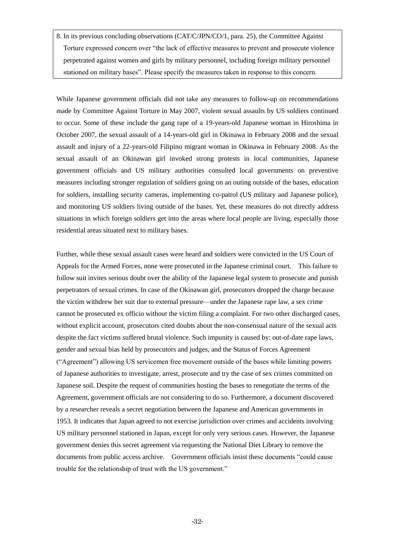8. In its previous concluding observations (CAT/C/JPN/CO/1, para. 25), the Committee Against Torture expressed concern over "the lack of effective measures to prevent and prosecute violence perpetrated against women and girls by military personnel, including foreign military personnel stationed on military bases". Please specify the measures taken in response to this concern.

While Japanese government officials did not take any measures to follow-up on recommendations made by Committee Against Torture in May 2007, violent sexual assaults by US soldiers continued to occur. Some of these include the gang rape of a 19-years-old Japanese woman in Hiroshima in October 2007, the sexual assault of a 14-years-old girl in Okinawa in February 2008 and the sexual assault and injury of a 22-years-old Filipino migrant woman in Okinawa in February 2008. As the sexual assault of an Okinawan girl invoked strong protests in local communities, Japanese government officials and US military authorities consulted local governments on preventive measures including stronger regulation of soldiers going on an outing outside of the bases, education for soldiers, installing security cameras, implementing co-patrol (US military and Japanese police), and monitoring US soldiers living outside of the bases. Yet, these measures do not directly address situations in which foreign soldiers get into the areas where local people are living, especially those residential areas situated next to military bases.

Further, while these sexual assault cases were heard and soldiers were convicted in the US Court of Appeals for the Armed Forces, none were prosecuted in the Japanese criminal court. This failure to follow suit invites serious doubt over the ability of the Japanese legal system to prosecute and punish perpetrators of sexual crimes. In case of the Okinawan girl, prosecutors dropped the charge because the victim withdrew her suit due to external pressure—under the Japanese rape law, a sex crime cannot be prosecuted ex officio without the victim filing a complaint. For two other discharged cases, without explicit account, prosecutors cited doubts about the non-consensual nature of the sexual acts despite the fact victims suffered brutal violence. Such impunity is caused by: out-of-date rape laws, gender and sexual bias held by prosecutors and judges, and the Status of Forces Agreement ("Agreement") allowing US servicemen free movement outside of the bases while limiting powers of Japanese authorities to investigate, arrest, prosecute and try the case of sex crimes committed on Japanese soil. Despite the request of communities hosting the bases to renegotiate the terms of the Agreement, government officials are not considering to do so. Furthermore, a document discovered by a researcher reveals a secret negotiation between the Japanese and American governments in 1953. It indicates that Japan agreed to not exercise jurisdiction over crimes and accidents involving US military personnel stationed in Japan, except for only very serious cases. However, the Japanese government denies this secret agreement via requesting the National Diet Library to remove the documents from public access archive. Government officials insist these documents "could cause trouble for the relationship of trust with the US government."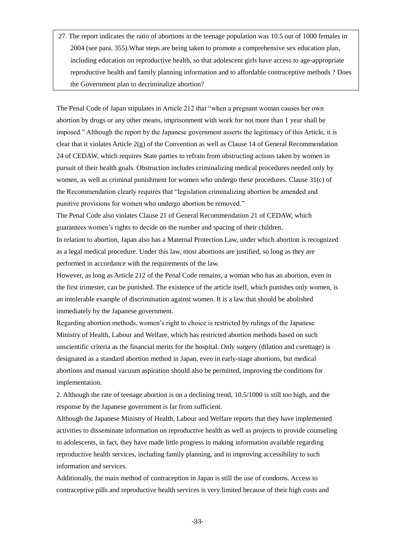27. The report indicates the ratio of abortions in the teenage population was 10.5 out of 1000 females in 2004 (see para. 355).What steps are being taken to promote a comprehensive sex education plan, including education on reproductive health, so that adolescent girls have access to age-appropriate reproductive health and family planning information and to affordable contraceptive methods ? Does the Government plan to decriminalize abortion?

The Penal Code of Japa[n stipulates](javascript:goWordLink(%22stipulates%22)) in Article 212 that "when a pregnant woman causes her own abortion by drugs or any other means, imprisonment with work for not more than 1 year shall be imposed." Although the report by the Japanese government asserts the legitimacy of this Article, it is clear that it violates Article 2(g) of the Convention as well as Clause 14 of General Recommendation 24 of CEDAW, which requires State parties to refrain from obstructing actions taken by women in pursuit of their health goals. Obstruction includes criminalizing medical procedures needed only by women, as well as criminal punishment for women who undergo these procedures. Clause 31(c) of the Recommendation clearly requires that "legislation criminalizing abortion be amended and punitive provisions for women who undergo abortion be removed."

The Penal Code also violates Clause 21 of General Recommendation 21 of CEDAW, which guarantees women"s rights to decide on the number and spacing of their children. In relation to abortion, Japan also has a Maternal Protection Law, under which abortion is recognized as a legal medical procedure. Under this law, most abortions are justified, so long as they are

performed in accordance with the requirements of the law.

However, as long as Article 212 of the Penal Code remains, a woman who has an abortion, even in the first trimester, can be punished. The existence of the article itself, which punishes only women, is an intolerable example of discrimination against women. It is a law that should be abolished immediately by the Japanese government.

Regarding abortion methods, women"s right to choice is restricted by rulings of the Japanese [Ministry](javascript:goWordLink(%22Ministry%22)) [of](javascript:goWordLink(%22of%22)) [Health,](javascript:goWordLink(%22Health%22)) [Labour](javascript:goWordLink(%22Labour%22)) [and](javascript:goWordLink(%22and%22)) [Welfare,](javascript:goWordLink(%22Welfare%22)) which has restricted abortion methods based on such unscientific criteria as the [financial](javascript:goWordLink(%22financially%22)) [merits](javascript:goWordLink(%22profitable%22)) [for](javascript:goWordLink(%22for%22)) [the](javascript:goWordLink(%22the%22)) [hospital.](javascript:goWordLink(%22hospital%22)) Only surgery (dilation and curettage) is designated as a standard abortion method in Japan, even in early-stage abortions, but medical abortions and manual vacuum aspiration should also be permitted, [improving](javascript:goWordLink(%22improve%22)) the [conditions](javascript:goWordLink(%22conditions%22)) for implementation.

2. Although the rate of teenage abortion is [on](javascript:goWordLink(%22on%22)) [a](javascript:goWordLink(%22a%22)) [declining](javascript:goWordLink(%22declining%22)) [trend,](javascript:goWordLink(%22trend%22)) 10.5/1000 is still too high, and the response by the Japanese government is far from sufficient.

Although the Japanes[e Ministry](javascript:goWordLink(%22Ministry%22)) [of](javascript:goWordLink(%22of%22)) [Health,](javascript:goWordLink(%22Health%22)) [Labour](javascript:goWordLink(%22Labour%22)) [and](javascript:goWordLink(%22and%22)) [Welfare](javascript:goWordLink(%22Welfare%22)) reports that they have implemented activities to disseminate information on reproductive health as well as projects to provide counseling to adolescents, in fact, they have made little progress in making information available regarding reproductive health services, including family planning, and in improving accessibility to such information and services.

Additionally, the main method of contraception in Japan is still the use of condoms. Access to contraceptive pills and reproductive health services is very limited because of their high costs and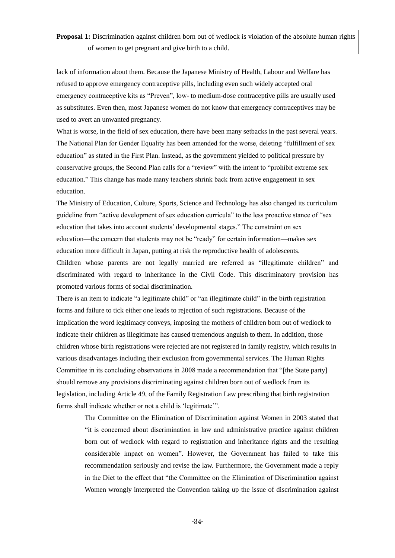lack of information about them. Because the Japanese [Ministry](javascript:goWordLink(%22Ministry%22)) [of](javascript:goWordLink(%22of%22)) [Health,](javascript:goWordLink(%22Health%22)) [Labour](javascript:goWordLink(%22Labour%22)) [and](javascript:goWordLink(%22and%22)) [Welfare](javascript:goWordLink(%22Welfare%22)) has refused to approve emergency contraceptive pills, including even such widely accepted oral emergency contraceptive kits as "Preven", low- to medium-dose contraceptive pills are usually used as substitutes. Even then, most Japanese women do not know that emergency contraceptives may be used to avert an unwanted pregnancy.

What is worse, in the field of sex education, there have been many setbacks in the past several years. The National Plan for Gender Equality has been amended for the worse, deleting "fulfillment of sex education" as stated in the First Plan. Instead, as the government yielded to political pressure by conservative groups, the Second Plan calls for a "review" with the intent to "prohibit extreme sex education." This change has made many teachers shrink back from active engagement in sex education.

The Ministry of Education, Culture, Sports, Science and Technology has also changed its curriculum guideline from "active development of sex education curricula" to the less proactive stance of "sex education that takes into account [students"](javascript:goWordLink(%22children%27s%22)) [developmenta](javascript:goWordLink(%22development%22))l stages." The constraint on sex education—the concern that students may not be "ready" for certain information—makes sex education more difficult in Japan, putting at risk the reproductive health of adolescents.

Children whose parents are not legally married are referred as "illegitimate children" and discriminated with regard to inheritance in the Civil Code. This discriminatory provision has promoted various forms of social discrimination.

There is an item to indicate "a legitimate child" or "an illegitimate child" in the birth registration forms and failure to tick either one leads to rejection of such registrations. Because of the implication the word legitimacy conveys, imposing the mothers of children born out of wedlock to indicate their children as illegitimate has caused tremendous anguish to them. In addition, those children whose birth registrations were rejected are not registered in family registry, which results in various disadvantages including their exclusion from governmental services. The Human Rights Committee in its concluding observations in 2008 made a recommendation that "[the State party] should remove any provisions discriminating against children born out of wedlock from its legislation, including Article 49, of the Family Registration Law prescribing that birth registration forms shall indicate whether or not a child is "legitimate"".

The Committee on the Elimination of Discrimination against Women in 2003 stated that "it is concerned about discrimination in law and administrative practice against children born out of wedlock with regard to registration and inheritance rights and the resulting considerable impact on women". However, the Government has failed to take this recommendation seriously and revise the law. Furthermore, the Government made a reply in the Diet to the effect that "the Committee on the Elimination of Discrimination against Women wrongly interpreted the Convention taking up the issue of discrimination against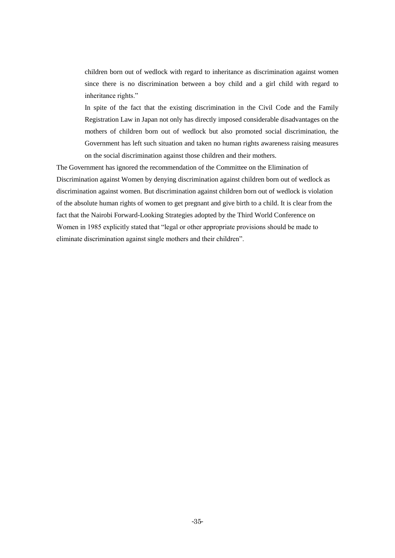children born out of wedlock with regard to inheritance as discrimination against women since there is no discrimination between a boy child and a girl child with regard to inheritance rights."

In spite of the fact that the existing discrimination in the Civil Code and the Family Registration Law in Japan not only has directly imposed considerable disadvantages on the mothers of children born out of wedlock but also promoted social discrimination, the Government has left such situation and taken no human rights awareness raising measures on the social discrimination against those children and their mothers.

The Government has ignored the recommendation of the Committee on the Elimination of Discrimination against Women by denying discrimination against children born out of wedlock as discrimination against women. But discrimination against children born out of wedlock is violation of the absolute human rights of women to get pregnant and give birth to a child. It is clear from the fact that the Nairobi Forward-Looking Strategies adopted by the Third World Conference on Women in 1985 explicitly stated that "legal or other appropriate provisions should be made to eliminate discrimination against single mothers and their children".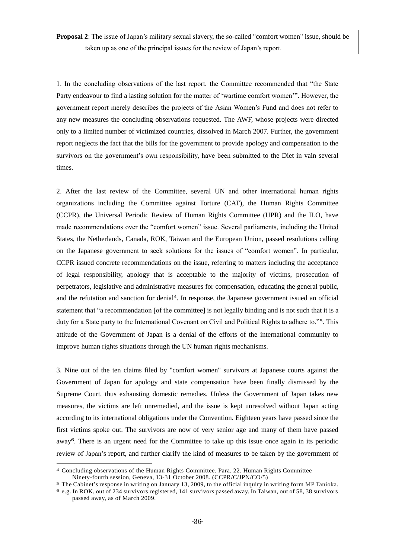**Proposal 2**: The issue of Japan's military sexual slavery, the so-called "comfort women" issue, should be taken up as one of the principal issues for the review of Japan"s report.

1. In the concluding observations of the last report, the Committee recommended that "the State Party endeavour to find a lasting solution for the matter of "wartime comfort women"". However, the government report merely describes the projects of the Asian Women"s Fund and does not refer to any new measures the concluding observations requested. The AWF, whose projects were directed only to a limited number of victimized countries, dissolved in March 2007. Further, the government report neglects the fact that the bills for the government to provide apology and compensation to the survivors on the government's own responsibility, have been submitted to the Diet in vain several times.

2. After the last review of the Committee, several UN and other international human rights organizations including the Committee against Torture (CAT), the Human Rights Committee (CCPR), the Universal Periodic Review of Human Rights Committee (UPR) and the ILO, have made recommendations over the "comfort women" issue. Several parliaments, including the United States, the Netherlands, Canada, ROK, Taiwan and the European Union, passed resolutions calling on the Japanese government to seek solutions for the issues of "comfort women". In particular, CCPR issued concrete recommendations on the issue, referring to matters including the acceptance of legal responsibility, apology that is acceptable to the majority of victims, prosecution of perpetrators, legislative and administrative measures for compensation, educating the general public, and the refutation and sanction for denial<sup>4</sup>. In response, the Japanese government issued an official statement that "a recommendation [of the committee] is not legally binding and is not such that it is a duty for a State party to the International Covenant on Civil and Political Rights to adhere to."<sup>5</sup>. This attitude of the Government of Japan is a denial of the efforts of the international community to improve human rights situations through the UN human rights mechanisms.

3. Nine out of the ten claims filed by "comfort women" survivors at Japanese courts against the Government of Japan for apology and state compensation have been finally dismissed by the Supreme Court, thus exhausting domestic remedies. Unless the Government of Japan takes new measures, the victims are left unremedied, and the issue is kept unresolved without Japan acting according to its international obligations under the Convention. Eighteen years have passed since the first victims spoke out. The survivors are now of very senior age and many of them have passed away<sup>6</sup>. There is an urgent need for the Committee to take up this issue once again in its periodic review of Japan"s report, and further clarify the kind of measures to be taken by the government of

-

<sup>4</sup> Concluding observations of the Human Rights Committee. Para. 22. Human Rights Committee Ninety-fourth session, Geneva, 13-31 October 2008. (CCPR/C/JPN/CO/5)

<sup>&</sup>lt;sup>5</sup> The Cabinet's response in writing on January 13, 2009, to the official inquiry in writing form MP Tanioka. 6 e.g. In ROK, out of 234 survivors registered, 141 survivors passed away. In Taiwan, out of 58, 38 survivors

passed away, as of March 2009.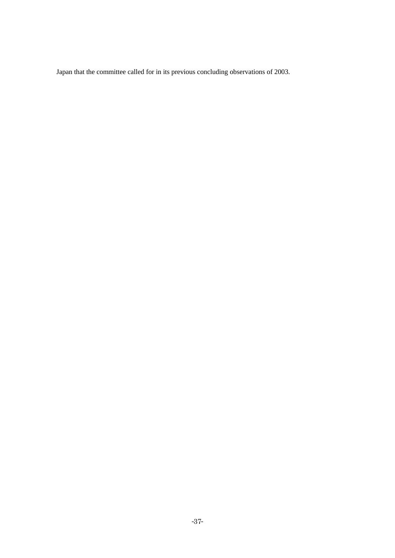Japan that the committee called for in its previous concluding observations of 2003.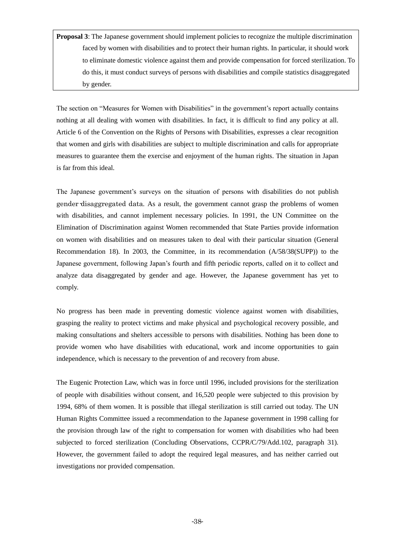**Proposal 3**: The Japanese government should implement policies to recognize the multiple discrimination faced by women with disabilities and to protect their human rights. In particular, it should work to eliminate domestic violence against them and provide compensation for forced sterilization. To do this, it must conduct surveys of persons with disabilities and compile statistics disaggregated by gender.

The section on "Measures for Women with Disabilities" in the government's report actually contains nothing at all dealing with women with disabilities. In fact, it is difficult to find any policy at all. Article 6 of the Convention on the Rights of Persons with Disabilities, expresses a clear recognition that women and girls with disabilities are subject to multiple discrimination and calls for appropriate measures to guarantee them the exercise and enjoyment of the human rights. The situation in Japan is far from this ideal.

The Japanese government's surveys on the situation of persons with disabilities do not publish gender-disaggregated data. As a result, the government cannot grasp the problems of women with disabilities, and cannot implement necessary policies. In 1991, the UN Committee on the Elimination of Discrimination against Women recommended that State Parties provide information on women with disabilities and on measures taken to deal with their particular situation (General Recommendation 18). In 2003, the Committee, in its recommendation (A/58/38(SUPP)) to the Japanese government, following Japan"s fourth and fifth periodic reports, called on it to collect and analyze data disaggregated by gender and age. However, the Japanese government has yet to comply.

No progress has been made in preventing domestic violence against women with disabilities, grasping the reality to protect victims and make physical and psychological recovery possible, and making consultations and shelters accessible to persons with disabilities. Nothing has been done to provide women who have disabilities with educational, work and income opportunities to gain independence, which is necessary to the prevention of and recovery from abuse.

The Eugenic Protection Law, which was in force until 1996, included provisions for the sterilization of people with disabilities without consent, and 16,520 people were subjected to this provision by 1994, 68% of them women. It is possible that illegal sterilization is still carried out today. The UN Human Rights Committee issued a recommendation to the Japanese government in 1998 calling for the provision through law of the right to compensation for women with disabilities who had been subjected to forced sterilization (Concluding Observations, CCPR/C/79/Add.102, paragraph 31). However, the government failed to adopt the required legal measures, and has neither carried out investigations nor provided compensation.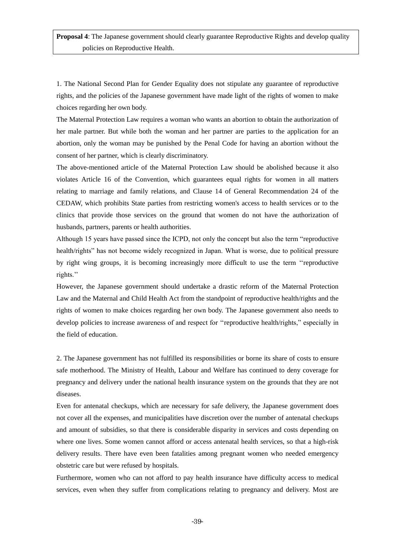1. The National Second Plan for Gender Equality does not [stipulate](javascript:goWordLink(%22stipulate%22)) any guarantee of reproductive rights, and the policies of the Japanese government have made light of the rights of women to make choices regarding her own body.

The Maternal Protection Law requires a woman who wants an abortion to obtain the authorization of her male partner. But while both the woman and her partner are parties to the application for an abortion, only the woman may be punished by the Penal Code for having an abortion without the consent of her partner, which is clearly discriminatory.

The above-mentioned article of the Maternal Protection Law should be abolished because it also violates Article 16 of the Convention, which guarantees equal rights for women in all matters relating to marriage and family relations, and Clause 14 of General Recommendation 24 of the CEDAW, which prohibits State parties from restricting women's access to health services or to the clinics that provide those services on the ground that women do not have the authorization of husbands, partners, parents or health authorities.

Although 15 years have passed since the ICPD, not only the concept but also the term "reproductive health/rights" has not become widely recognized in Japan. What is worse, due to political pressure by right wing groups, it is becoming increasingly more difficult to use the term ""reproductive rights."

However, the Japanese government should undertake a drastic reform of the Maternal Protection Law and th[e Maternal](javascript:goWordLink(%22Maternal%22)) [and](javascript:goWordLink(%22and%22)) [Child](javascript:goWordLink(%22Child%22)) [Health](javascript:goWordLink(%22Health%22)) [Act](javascript:goWordLink(%22Act%22)) from the standpoint of reproductive health/rights and the rights of women to make choices regarding her own body. The Japanese government also needs to develop policies to increase awareness of and respect for ""reproductive health/rights," especially in the field of education.

2. The Japanese government has not [fulfille](javascript:goWordLink(%22fulfill%22))d its [responsibilities](javascript:goWordLink(%22responsibilities%22)) or borne its share of [costs](javascript:goWordLink(%22cost%22)) to ensure safe motherhood. The [Ministry](javascript:goWordLink(%22Ministry%22)) [of](javascript:goWordLink(%22of%22)) [Health,](javascript:goWordLink(%22Health%22)) [Labour](javascript:goWordLink(%22Labour%22)) [and](javascript:goWordLink(%22and%22)) [Welfare](javascript:goWordLink(%22Welfare%22)) has continued to deny coverage for pregnancy and delivery under the national health insurance system on the grounds that they are not diseases.

Even for antenatal checkups, which are necessary for safe delivery, the Japanese government does not cover all the expenses, and municipalities have discretion over the [number](javascript:goWordLink(%22number%22)) [of](javascript:goWordLink(%22of%22)) [antenatal](javascript:goWordLink(%22times%22)) checkups and [amount](javascript:goWordLink(%22amount%22)) [of](javascript:goWordLink(%22of%22)) [subsidies,](javascript:goWordLink(%22subsidies%22)) so that there is considerable disparity in services and costs depending on where one lives. Some women cannot afford or access antenatal health services, so that a high-risk delivery results. There have even been [fatali](javascript:goWordLink(%22fatal%22))ties among pregnant women who needed emergency obstetric care but were refused by hospitals.

Furthermore, women who can not afford to pay [health](javascript:goWordLink(%22health%22)) [insurance](javascript:goWordLink(%22insurance%22)) have difficulty access to medical services, even when they suffer from complications relating to pregnancy and delivery. Most are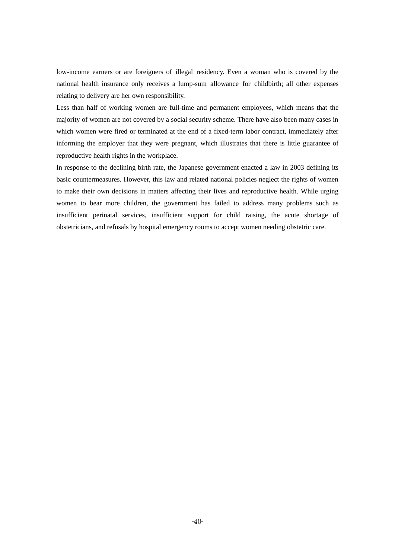[low-income](javascript:goWordLink(%22low-income%22)) earners or are foreigners [of](javascript:goWordLink(%22of%22)) [illegal](javascript:goWordLink(%22illegal%22)) [residency.](javascript:goWordLink(%22residency%22)) Even a woman who is covered by the national health insurance only receives a [lump-sum](javascript:goWordLink(%22lump-sum%22)) [allowance](javascript:goWordLink(%22allowance%22)) [for](javascript:goWordLink(%22for%22)) [childbirth;](javascript:goWordLink(%22childbirth%22)) all other [expenses](javascript:goWordLink(%22expenses%22)) relating to delivery are her [own](javascript:goWordLink(%22own%22)) responsibility.

Less than half of working women are full-time and permanent [employees,](javascript:goWordLink(%22employment%22)) which means that the majority of women are not covered by a social security scheme. There have also been many cases in which women were fired or terminated at the end of a fixed-term labor contract, immediately after informing the employer that they were pregnant, which [illustrates](javascript:goWordLink(%22illustrate%22)) that there is little guarantee of reproductive health rights in the workplace.

In response to the declining birth rate, the Japanese government enacted a law in 2003 defining its basic countermeasures. However, this law and related national policies neglect the rights of women to make their own decisions in matters affecting their lives and reproductive health. While urging women to bear more children, the government has failed to address many problems such as [insufficient](javascript:goWordLink(%22insufficient%22)) [perinatal](javascript:goWordLink(%22perinatal%22)) services, [insufficient](javascript:goWordLink(%22insufficient%22)) [support](javascript:goWordLink(%22support%22)) [for](javascript:goWordLink(%22for%22)) [child](javascript:goWordLink(%22child%22)) [raising,](javascript:goWordLink(%22raising%22)) the acute [shortage](javascript:goWordLink(%22shortage%22)) [of](javascript:goWordLink(%22of%22)) [obstetricians](javascript:goWordLink(%22obstetrician%22)), and [refusals](javascript:goWordLink(%22refusal%22)) [by](javascript:goWordLink(%22of%22)) hospital emergency rooms to accept women needing obstetric care.